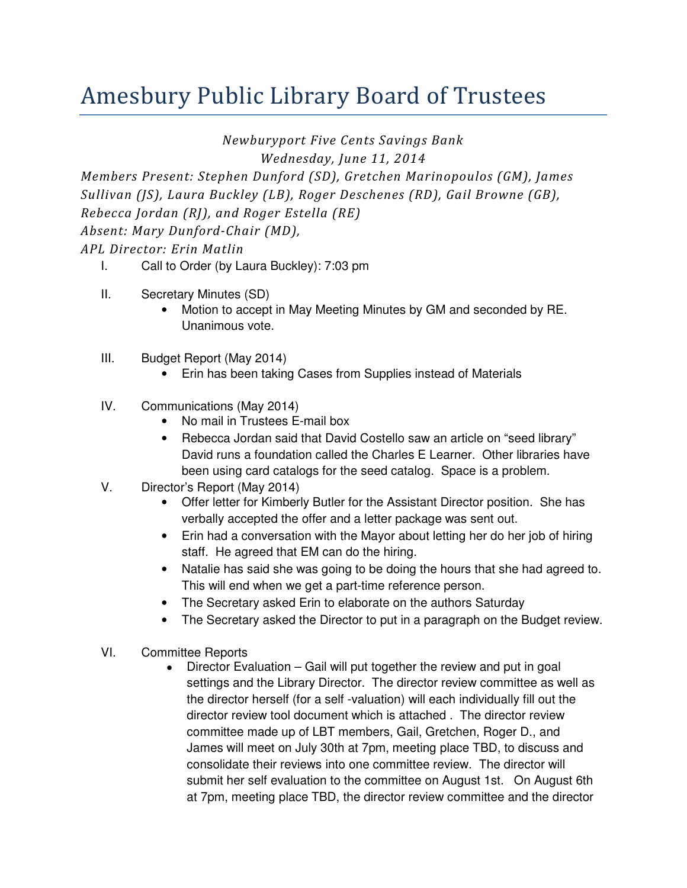## Amesbury Public Library Board of Trustees

Newburyport Five Cents Savings Bank

Wednesday, June 11, 2014

Members Present: Stephen Dunford (SD), Gretchen Marinopoulos (GM), James Sullivan (JS), Laura Buckley (LB), Roger Deschenes (RD), Gail Browne (GB), Rebecca Jordan (RJ), and Roger Estella (RE) Absent: Mary Dunford-Chair (MD), APL Director: Erin Matlin

- I. Call to Order (by Laura Buckley): 7:03 pm
- II. Secretary Minutes (SD)
	- Motion to accept in May Meeting Minutes by GM and seconded by RE. Unanimous vote.
- III. Budget Report (May 2014)
	- Erin has been taking Cases from Supplies instead of Materials
- IV. Communications (May 2014)
	- No mail in Trustees E-mail box
	- Rebecca Jordan said that David Costello saw an article on "seed library" David runs a foundation called the Charles E Learner. Other libraries have been using card catalogs for the seed catalog. Space is a problem.
- V. Director's Report (May 2014)
	- Offer letter for Kimberly Butler for the Assistant Director position. She has verbally accepted the offer and a letter package was sent out.
	- Erin had a conversation with the Mayor about letting her do her job of hiring staff. He agreed that EM can do the hiring.
	- Natalie has said she was going to be doing the hours that she had agreed to. This will end when we get a part-time reference person.
	- The Secretary asked Erin to elaborate on the authors Saturday
	- The Secretary asked the Director to put in a paragraph on the Budget review.
- VI. Committee Reports
	- Director Evaluation Gail will put together the review and put in goal settings and the Library Director. The director review committee as well as the director herself (for a self -valuation) will each individually fill out the director review tool document which is attached . The director review committee made up of LBT members, Gail, Gretchen, Roger D., and James will meet on July 30th at 7pm, meeting place TBD, to discuss and consolidate their reviews into one committee review. The director will submit her self evaluation to the committee on August 1st. On August 6th at 7pm, meeting place TBD, the director review committee and the director